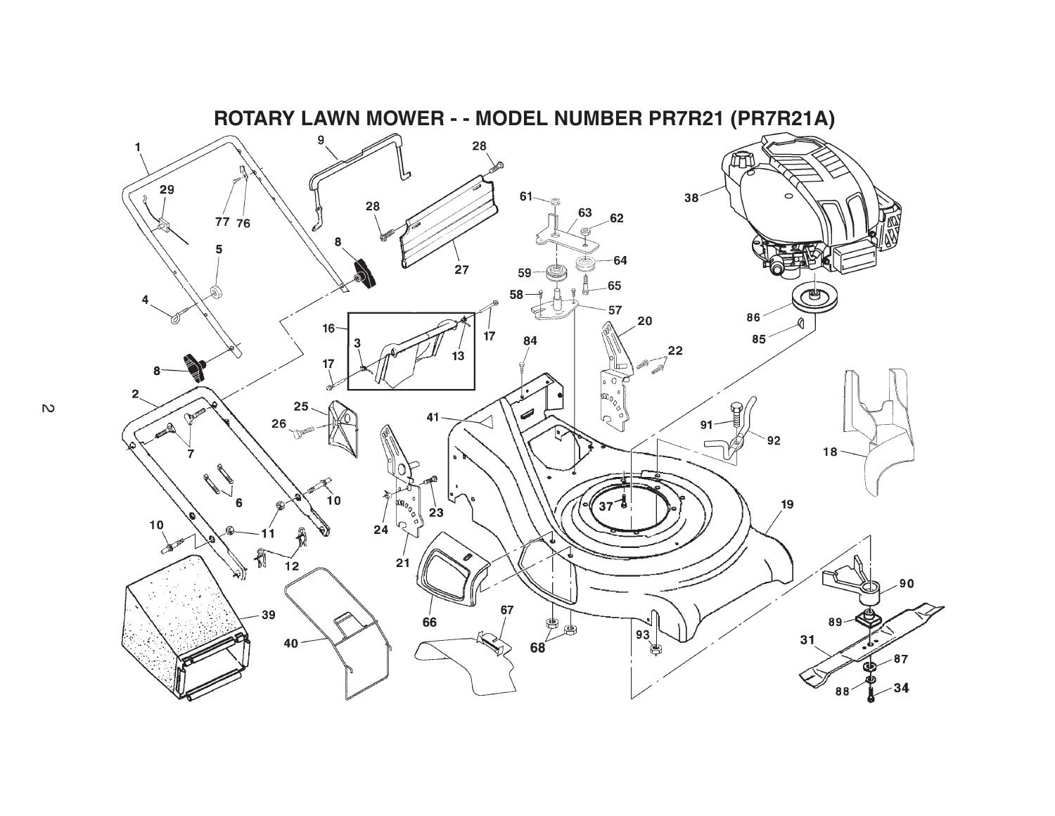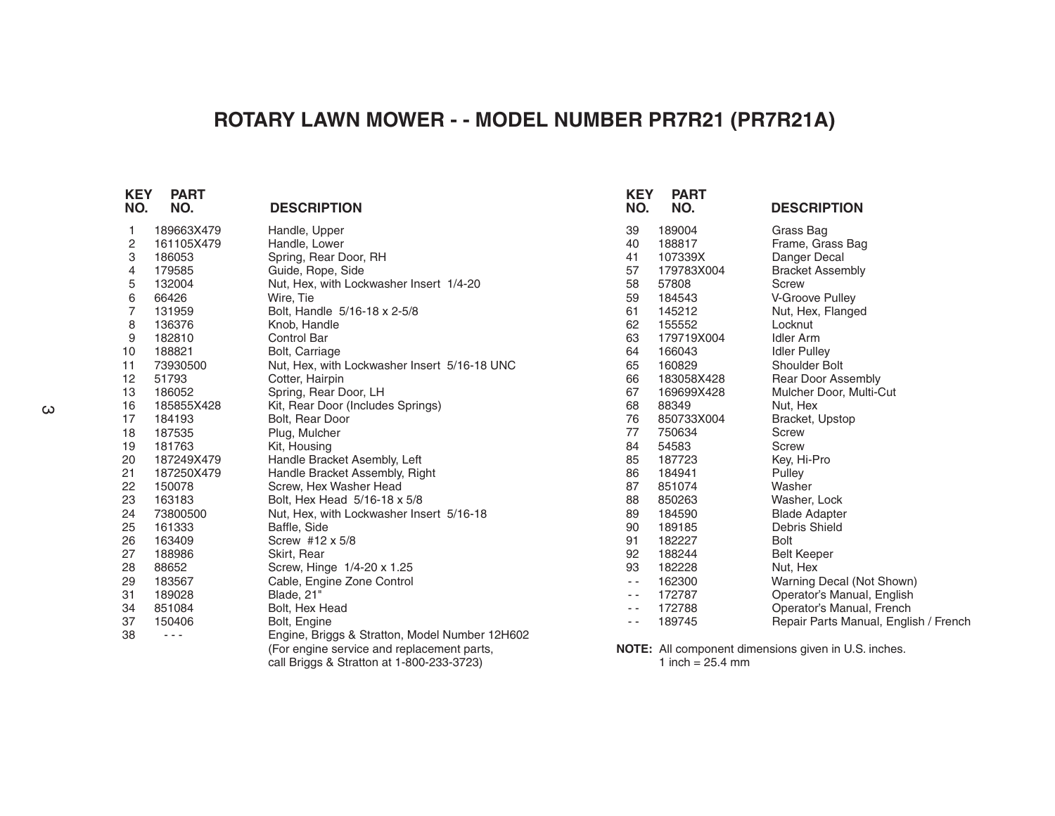## **ROTARY LAWN MOWER - - MODEL NUMBER PR7R21 (PR7R21A)**

| <b>KEY</b><br>NO. | <b>PART</b><br>NO. | <b>DESCRIPTION</b>                             | <b>KEY</b><br>NO. | <b>PART</b><br>NO. | <b>DESCRIPTION</b>                                   |
|-------------------|--------------------|------------------------------------------------|-------------------|--------------------|------------------------------------------------------|
| 1                 | 189663X479         | Handle, Upper                                  | 39                | 189004             | Grass Bag                                            |
| 2                 | 161105X479         | Handle, Lower                                  | 40                | 188817             | Frame, Grass Bag                                     |
| 3                 | 186053             | Spring, Rear Door, RH                          | 41                | 107339X            | Danger Decal                                         |
| 4                 | 179585             | Guide, Rope, Side                              | 57                | 179783X004         | <b>Bracket Assembly</b>                              |
| 5                 | 132004             | Nut, Hex, with Lockwasher Insert 1/4-20        | 58                | 57808              | <b>Screw</b>                                         |
| 6                 | 66426              | Wire, Tie                                      | 59                | 184543             | V-Groove Pulley                                      |
| $\overline{7}$    | 131959             | Bolt, Handle 5/16-18 x 2-5/8                   | 61                | 145212             | Nut, Hex, Flanged                                    |
| 8                 | 136376             | Knob, Handle                                   | 62                | 155552             | Locknut                                              |
| 9                 | 182810             | <b>Control Bar</b>                             | 63                | 179719X004         | <b>Idler Arm</b>                                     |
| 10                | 188821             | Bolt, Carriage                                 | 64                | 166043             | <b>Idler Pulley</b>                                  |
| 11                | 73930500           | Nut, Hex, with Lockwasher Insert 5/16-18 UNC   | 65                | 160829             | Shoulder Bolt                                        |
| 12                | 51793              | Cotter, Hairpin                                | 66                | 183058X428         | Rear Door Assembly                                   |
| 13                | 186052             | Spring, Rear Door, LH                          | 67                | 169699X428         | Mulcher Door, Multi-Cut                              |
| 16                | 185855X428         | Kit, Rear Door (Includes Springs)              | 68                | 88349              | Nut, Hex                                             |
| 17                | 184193             | Bolt, Rear Door                                | 76                | 850733X004         | Bracket, Upstop                                      |
| 18                | 187535             | Plug, Mulcher                                  | 77                | 750634             | <b>Screw</b>                                         |
| 19                | 181763             | Kit, Housing                                   | 84                | 54583              | <b>Screw</b>                                         |
| 20                | 187249X479         | Handle Bracket Asembly, Left                   | 85                | 187723             | Key, Hi-Pro                                          |
| 21                | 187250X479         | Handle Bracket Assembly, Right                 | 86                | 184941             | Pulley                                               |
| 22                | 150078             | Screw, Hex Washer Head                         | 87                | 851074             | Washer                                               |
| 23                | 163183             | Bolt, Hex Head 5/16-18 x 5/8                   | 88                | 850263             | Washer, Lock                                         |
| 24                | 73800500           | Nut, Hex, with Lockwasher Insert 5/16-18       | 89                | 184590             | <b>Blade Adapter</b>                                 |
| 25                | 161333             | Baffle, Side                                   | 90                | 189185             | Debris Shield                                        |
| 26                | 163409             | Screw #12 x 5/8                                | 91                | 182227             | <b>Bolt</b>                                          |
| 27                | 188986             | Skirt, Rear                                    | 92                | 188244             | <b>Belt Keeper</b>                                   |
| 28                | 88652              | Screw, Hinge 1/4-20 x 1.25                     | 93                | 182228             | Nut, Hex                                             |
| 29                | 183567             | Cable, Engine Zone Control                     | $\sim$ $\sim$     | 162300             | Warning Decal (Not Shown)                            |
| 31                | 189028             | Blade, 21"                                     | $- -$             | 172787             | Operator's Manual, English                           |
| 34                | 851084             | Bolt, Hex Head                                 | $ -$              | 172788             | Operator's Manual, French                            |
| 37                | 150406             | Bolt, Engine                                   | $ -$              | 189745             | Repair Parts Manual, English / French                |
| 38                | $- - -$            | Engine, Briggs & Stratton, Model Number 12H602 |                   |                    |                                                      |
|                   |                    | (For engine service and replacement parts,     |                   |                    | NOTE: All component dimensions given in U.S. inches. |
|                   |                    | call Briggs & Stratton at 1-800-233-3723)      |                   | 1 inch = $25.4$ mm |                                                      |
|                   |                    |                                                |                   |                    |                                                      |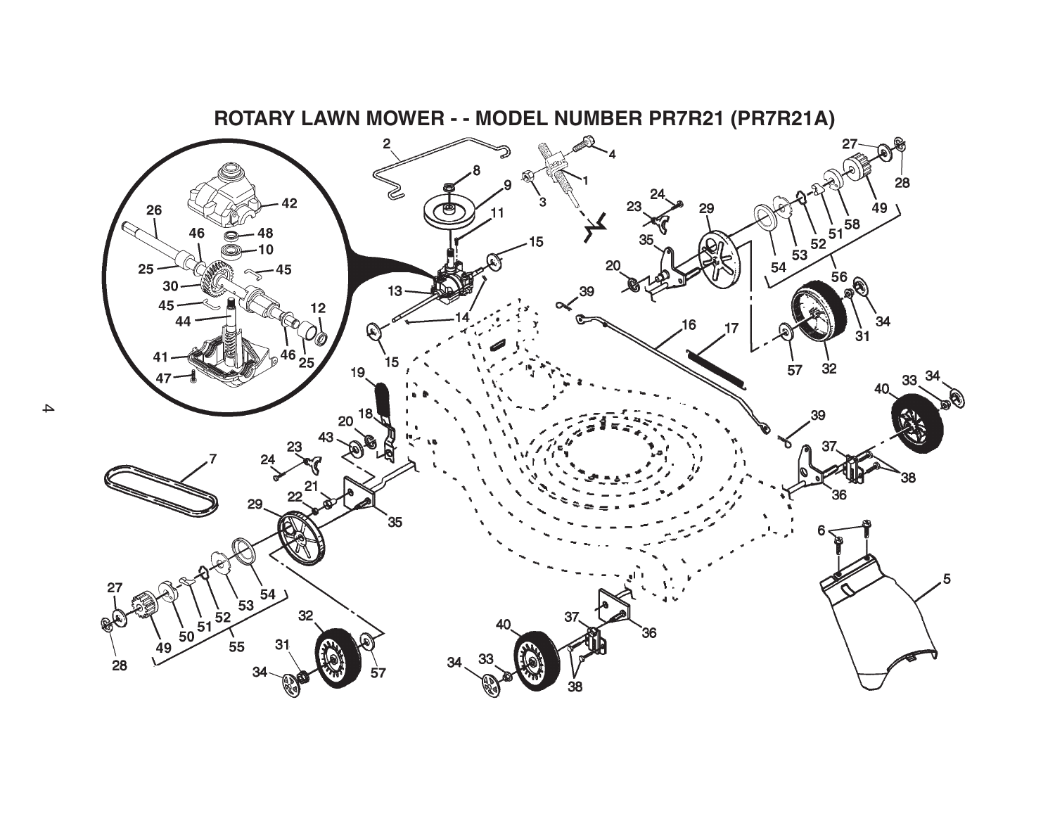

 $\blacktriangle$